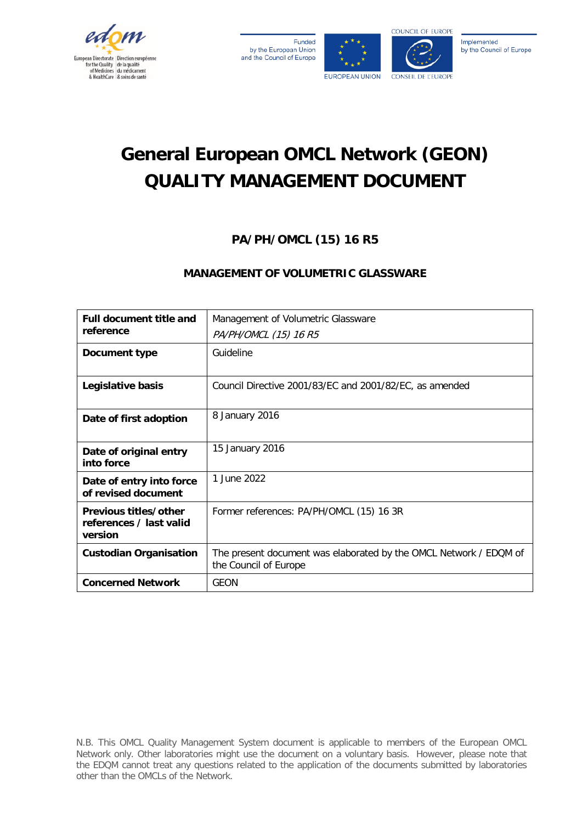

| Funded                    |
|---------------------------|
| by the European Union     |
| and the Council of Europe |



# **General European OMCL Network (GEON) QUALITY MANAGEMENT DOCUMENT**

# **PA/PH/OMCL (15) 16 R5**

# **MANAGEMENT OF VOLUMETRIC GLASSWARE**

| <b>Full document title and</b><br>reference                 | Management of Volumetric Glassware                                                         |
|-------------------------------------------------------------|--------------------------------------------------------------------------------------------|
|                                                             | PA/PH/OMCL (15) 16 R5                                                                      |
| Document type                                               | Guideline                                                                                  |
| Legislative basis                                           | Council Directive 2001/83/EC and 2001/82/EC, as amended                                    |
| Date of first adoption                                      | 8 January 2016                                                                             |
| Date of original entry<br>into force                        | 15 January 2016                                                                            |
| Date of entry into force<br>of revised document             | 1 June 2022                                                                                |
| Previous titles/other<br>references / last valid<br>version | Former references: PA/PH/OMCL (15) 16 3R                                                   |
| <b>Custodian Organisation</b>                               | The present document was elaborated by the OMCL Network / EDQM of<br>the Council of Europe |
| <b>Concerned Network</b>                                    | <b>GEON</b>                                                                                |

N.B. This OMCL Quality Management System document is applicable to members of the European OMCL Network only. Other laboratories might use the document on a voluntary basis. However, please note that the EDQM cannot treat any questions related to the application of the documents submitted by laboratories other than the OMCLs of the Network.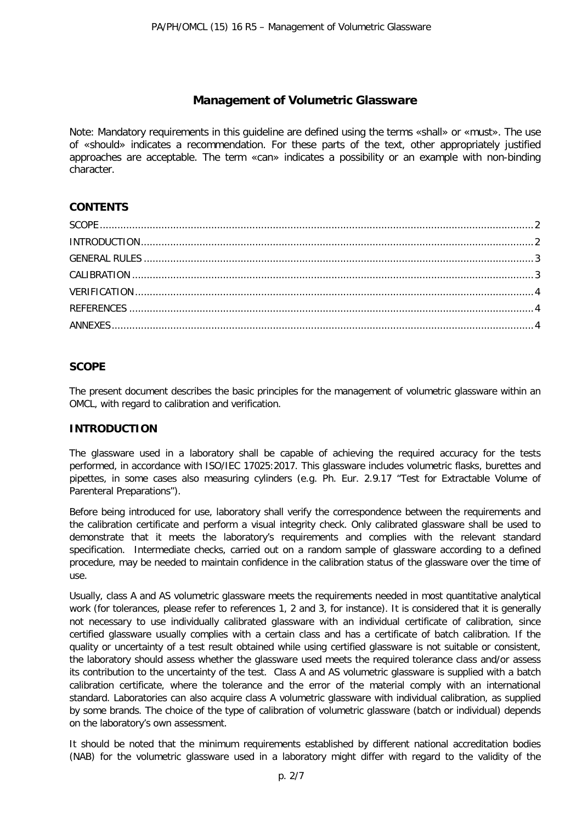# **Management of Volumetric Glassware**

Note: Mandatory requirements in this guideline are defined using the terms «shall» or «must». The use of «should» indicates a recommendation. For these parts of the text, other appropriately justified approaches are acceptable. The term «can» indicates a possibility or an example with non-binding character.

# **CONTENTS**

# <span id="page-1-0"></span>**SCOPE**

The present document describes the basic principles for the management of volumetric glassware within an OMCL, with regard to calibration and verification.

## <span id="page-1-1"></span>**INTRODUCTION**

The glassware used in a laboratory shall be capable of achieving the required accuracy for the tests performed, in accordance with ISO/IEC 17025:2017. This glassware includes volumetric flasks, burettes and pipettes, in some cases also measuring cylinders (e.g. Ph. Eur. 2.9.17 "Test for Extractable Volume of Parenteral Preparations").

Before being introduced for use, laboratory shall verify the correspondence between the requirements and the calibration certificate and perform a visual integrity check. Only calibrated glassware shall be used to demonstrate that it meets the laboratory's requirements and complies with the relevant standard specification. Intermediate checks, carried out on a random sample of glassware according to a defined procedure, may be needed to maintain confidence in the calibration status of the glassware over the time of use.

Usually, class A and AS volumetric glassware meets the requirements needed in most quantitative analytical work (for tolerances, please refer to references 1, 2 and 3, for instance). It is considered that it is generally not necessary to use individually calibrated glassware with an individual certificate of calibration, since certified glassware usually complies with a certain class and has a certificate of batch calibration. If the quality or uncertainty of a test result obtained while using certified glassware is not suitable or consistent, the laboratory should assess whether the glassware used meets the required tolerance class and/or assess its contribution to the uncertainty of the test. Class A and AS volumetric glassware is supplied with a batch calibration certificate, where the tolerance and the error of the material comply with an international standard. Laboratories can also acquire class A volumetric glassware with individual calibration, as supplied by some brands. The choice of the type of calibration of volumetric glassware (batch or individual) depends on the laboratory's own assessment.

It should be noted that the minimum requirements established by different national accreditation bodies (NAB) for the volumetric glassware used in a laboratory might differ with regard to the validity of the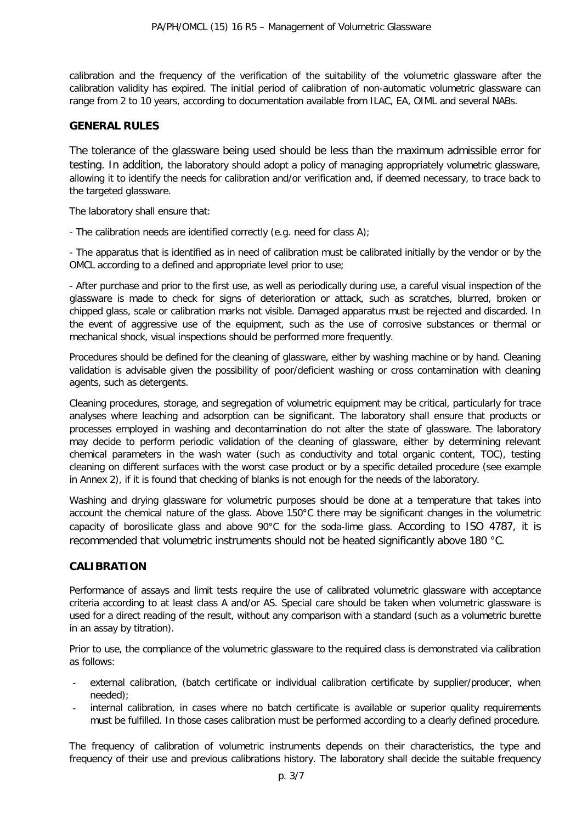calibration and the frequency of the verification of the suitability of the volumetric glassware after the calibration validity has expired. The initial period of calibration of non-automatic volumetric glassware can range from 2 to 10 years, according to documentation available from ILAC, EA, OIML and several NABs.

#### <span id="page-2-0"></span>**GENERAL RULES**

The tolerance of the glassware being used should be less than the maximum admissible error for testing. In addition, the laboratory should adopt a policy of managing appropriately volumetric glassware, allowing it to identify the needs for calibration and/or verification and, if deemed necessary, to trace back to the targeted glassware.

The laboratory shall ensure that:

- The calibration needs are identified correctly (e.g. need for class A);

- The apparatus that is identified as in need of calibration must be calibrated initially by the vendor or by the OMCL according to a defined and appropriate level prior to use;

- After purchase and prior to the first use, as well as periodically during use, a careful visual inspection of the glassware is made to check for signs of deterioration or attack, such as scratches, blurred, broken or chipped glass, scale or calibration marks not visible. Damaged apparatus must be rejected and discarded. In the event of aggressive use of the equipment, such as the use of corrosive substances or thermal or mechanical shock, visual inspections should be performed more frequently.

Procedures should be defined for the cleaning of glassware, either by washing machine or by hand. Cleaning validation is advisable given the possibility of poor/deficient washing or cross contamination with cleaning agents, such as detergents.

Cleaning procedures, storage, and segregation of volumetric equipment may be critical, particularly for trace analyses where leaching and adsorption can be significant. The laboratory shall ensure that products or processes employed in washing and decontamination do not alter the state of glassware. The laboratory may decide to perform periodic validation of the cleaning of glassware, either by determining relevant chemical parameters in the wash water (such as conductivity and total organic content, TOC), testing cleaning on different surfaces with the worst case product or by a specific detailed procedure (see example in Annex 2), if it is found that checking of blanks is not enough for the needs of the laboratory.

Washing and drying glassware for volumetric purposes should be done at a temperature that takes into account the chemical nature of the glass. Above 150°C there may be significant changes in the volumetric capacity of borosilicate glass and above 90°C for the soda-lime glass. According to ISO 4787, it is recommended that volumetric instruments should not be heated significantly above 180 °C.

#### <span id="page-2-1"></span>**CALIBRATION**

Performance of assays and limit tests require the use of calibrated volumetric glassware with acceptance criteria according to at least class A and/or AS. Special care should be taken when volumetric glassware is used for a direct reading of the result, without any comparison with a standard (such as a volumetric burette in an assay by titration).

Prior to use, the compliance of the volumetric glassware to the required class is demonstrated via calibration as follows:

- external calibration, (batch certificate or individual calibration certificate by supplier/producer, when needed);
- internal calibration, in cases where no batch certificate is available or superior quality requirements must be fulfilled. In those cases calibration must be performed according to a clearly defined procedure.

The frequency of calibration of volumetric instruments depends on their characteristics, the type and frequency of their use and previous calibrations history. The laboratory shall decide the suitable frequency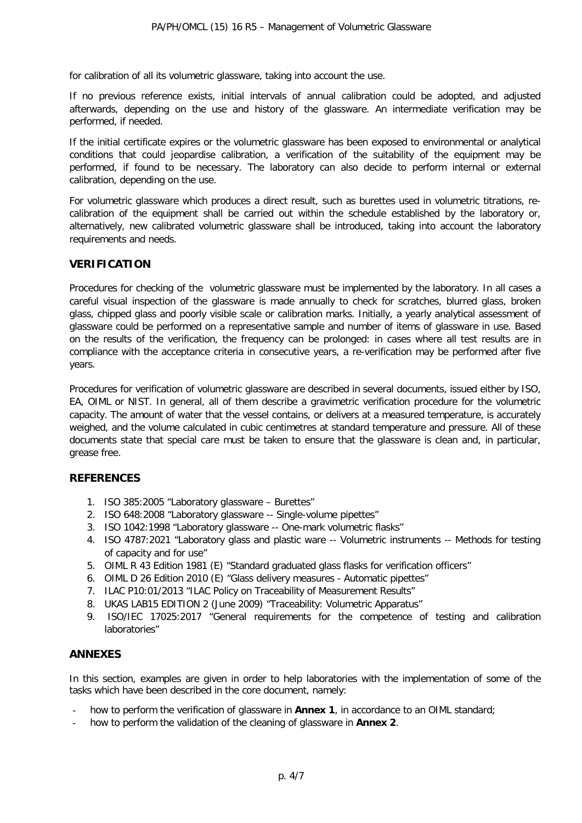for calibration of all its volumetric glassware, taking into account the use.

If no previous reference exists, initial intervals of annual calibration could be adopted, and adjusted afterwards, depending on the use and history of the glassware. An intermediate verification may be performed, if needed.

If the initial certificate expires or the volumetric glassware has been exposed to environmental or analytical conditions that could jeopardise calibration, a verification of the suitability of the equipment may be performed, if found to be necessary. The laboratory can also decide to perform internal or external calibration, depending on the use.

For volumetric glassware which produces a direct result, such as burettes used in volumetric titrations, recalibration of the equipment shall be carried out within the schedule established by the laboratory or, alternatively, new calibrated volumetric glassware shall be introduced, taking into account the laboratory requirements and needs.

#### <span id="page-3-0"></span>**VERIFICATION**

Procedures for checking of the volumetric glassware must be implemented by the laboratory. In all cases a careful visual inspection of the glassware is made annually to check for scratches, blurred glass, broken glass, chipped glass and poorly visible scale or calibration marks. Initially, a yearly analytical assessment of glassware could be performed on a representative sample and number of items of glassware in use. Based on the results of the verification, the frequency can be prolonged: in cases where all test results are in compliance with the acceptance criteria in consecutive years, a re-verification may be performed after five years.

Procedures for verification of volumetric glassware are described in several documents, issued either by ISO, EA, OIML or NIST. In general, all of them describe a gravimetric verification procedure for the volumetric capacity. The amount of water that the vessel contains, or delivers at a measured temperature, is accurately weighed, and the volume calculated in cubic centimetres at standard temperature and pressure. All of these documents state that special care must be taken to ensure that the glassware is clean and, in particular, grease free.

#### <span id="page-3-1"></span>**REFERENCES**

- 1. ISO [385:2005](http://www.iso.org/iso/home/store/catalogue_tc/catalogue_detail.htm?csnumber=38678) "Laboratory glassware Burettes"
- 2. ISO 648:2008 "Laboratory glassware -- Single-volume pipettes"
- 3. [ISO 1042:1998](http://www.iso.org/iso/home/store/catalogue_tc/catalogue_detail.htm?csnumber=25484) "Laboratory glassware -- One-mark volumetric flasks"
- 4. ISO 4787:2021 "Laboratory glass and plastic ware -- Volumetric instruments -- Methods for testing of capacity and for use"
- 5. OIML R 43 Edition 1981 (E) "Standard graduated glass flasks for verification officers"
- 6. OIML D 26 Edition 2010 (E) "Glass delivery measures Automatic pipettes"
- 7. [ILAC P10:01/2013 "ILAC Policy on Traceability of Measurement Results"](http://ilac.org/?ddownload=840)
- 8. UKAS LAB15 EDITION 2 (June 2009) "Traceability: Volumetric Apparatus"
- 9. ISO/IEC 17025:2017 "General requirements for the competence of testing and calibration laboratories"

#### <span id="page-3-2"></span>**ANNEXES**

In this section, examples are given in order to help laboratories with the implementation of some of the tasks which have been described in the core document, namely:

- how to perform the verification of glassware in **Annex 1**, in accordance to an OIML standard;
- how to perform the validation of the cleaning of glassware in **Annex 2**.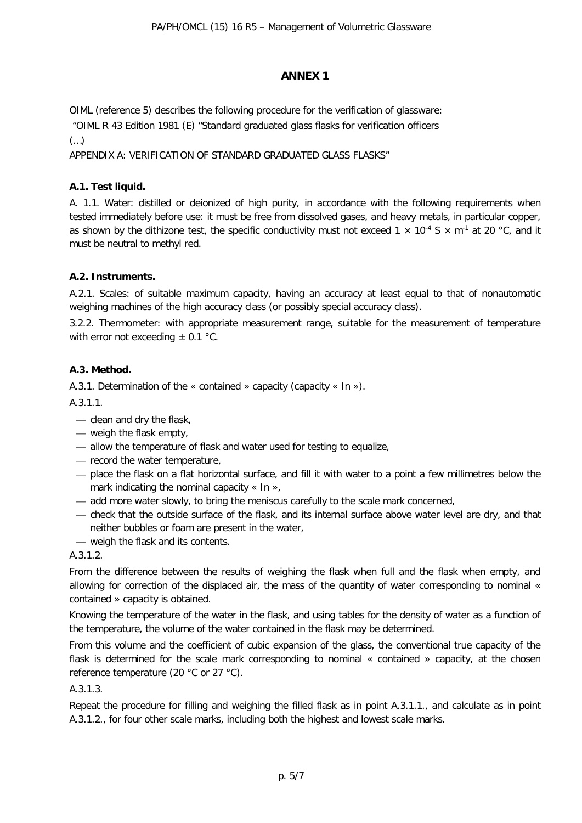#### **ANNEX 1**

OIML (reference 5) describes the following procedure for the verification of glassware:

"OIML R 43 Edition 1981 (E) "Standard graduated glass flasks for verification officers

(…)

APPENDIX A: VERIFICATION OF STANDARD GRADUATED GLASS FLASKS"

#### **A.1. Test liquid.**

A. 1.1. Water: distilled or deionized of high purity, in accordance with the following requirements when tested immediately before use: it must be free from dissolved gases, and heavy metals, in particular copper, as shown by the dithizone test, the specific conductivity must not exceed  $1 \times 10^{-4}$  S  $\times$  m<sup>-1</sup> at 20 °C, and it must be neutral to methyl red.

#### **A.2. Instruments.**

A.2.1. Scales: of suitable maximum capacity, having an accuracy at least equal to that of nonautomatic weighing machines of the high accuracy class (or possibly special accuracy class).

3.2.2. Thermometer: with appropriate measurement range, suitable for the measurement of temperature with error not exceeding  $\pm$  0.1 °C.

#### **A.3. Method.**

A.3.1. Determination of the « contained » capacity (capacity « In »).

A.3.1.1.

- clean and dry the flask,
- weigh the flask empty,
- allow the temperature of flask and water used for testing to equalize,
- record the water temperature,
- place the flask on a flat horizontal surface, and fill it with water to a point a few millimetres below the mark indicating the nominal capacity « In »,
- add more water slowly, to bring the meniscus carefully to the scale mark concerned,
- check that the outside surface of the flask, and its internal surface above water level are dry, and that neither bubbles or foam are present in the water,
- weigh the flask and its contents.

A.3.1.2.

From the difference between the results of weighing the flask when full and the flask when empty, and allowing for correction of the displaced air, the mass of the quantity of water corresponding to nominal « contained » capacity is obtained.

Knowing the temperature of the water in the flask, and using tables for the density of water as a function of the temperature, the volume of the water contained in the flask may be determined.

From this volume and the coefficient of cubic expansion of the glass, the conventional true capacity of the flask is determined for the scale mark corresponding to nominal « contained » capacity, at the chosen reference temperature (20 °C or 27 °C).

#### A.3.1.3.

Repeat the procedure for filling and weighing the filled flask as in point A.3.1.1., and calculate as in point A.3.1.2., for four other scale marks, including both the highest and lowest scale marks.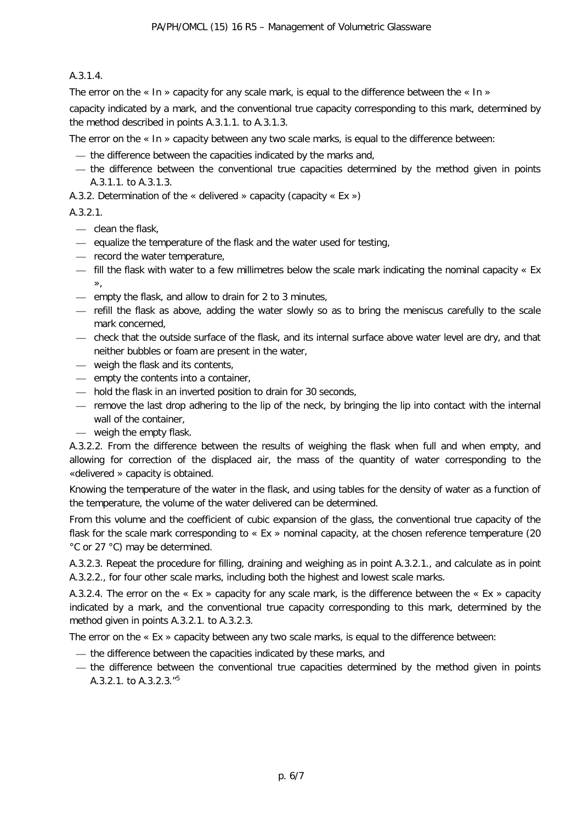#### A.3.1.4.

The error on the « In » capacity for any scale mark, is equal to the difference between the « In » capacity indicated by a mark, and the conventional true capacity corresponding to this mark, determined by the method described in points A.3.1.1. to A.3.1.3.

The error on the « In » capacity between any two scale marks, is equal to the difference between:

- the difference between the capacities indicated by the marks and,
- the difference between the conventional true capacities determined by the method given in points A.3.1.1. to A.3.1.3.

A.3.2. Determination of the « delivered » capacity (capacity « Ex »)

#### A.3.2.1.

- clean the flask,
- equalize the temperature of the flask and the water used for testing,
- record the water temperature,
- fill the flask with water to a few millimetres below the scale mark indicating the nominal capacity « Ex »,
- empty the flask, and allow to drain for 2 to 3 minutes,
- refill the flask as above, adding the water slowly so as to bring the meniscus carefully to the scale mark concerned,
- check that the outside surface of the flask, and its internal surface above water level are dry, and that neither bubbles or foam are present in the water,
- weigh the flask and its contents,
- empty the contents into a container,
- hold the flask in an inverted position to drain for 30 seconds,
- remove the last drop adhering to the lip of the neck, by bringing the lip into contact with the internal wall of the container,
- weigh the empty flask.

A.3.2.2. From the difference between the results of weighing the flask when full and when empty, and allowing for correction of the displaced air, the mass of the quantity of water corresponding to the «delivered » capacity is obtained.

Knowing the temperature of the water in the flask, and using tables for the density of water as a function of the temperature, the volume of the water delivered can be determined.

From this volume and the coefficient of cubic expansion of the glass, the conventional true capacity of the flask for the scale mark corresponding to « Ex » nominal capacity, at the chosen reference temperature (20 °C or 27 °C) may be determined.

A.3.2.3. Repeat the procedure for filling, draining and weighing as in point A.3.2.1., and calculate as in point A.3.2.2., for four other scale marks, including both the highest and lowest scale marks.

A.3.2.4. The error on the « Ex » capacity for any scale mark, is the difference between the « Ex » capacity indicated by a mark, and the conventional true capacity corresponding to this mark, determined by the method given in points A.3.2.1. to A.3.2.3.

The error on the « Ex » capacity between any two scale marks, is equal to the difference between:

- the difference between the capacities indicated by these marks, and
- the difference between the conventional true capacities determined by the method given in points A.3.2.1. to A.3.2.3."<sup>5</sup>